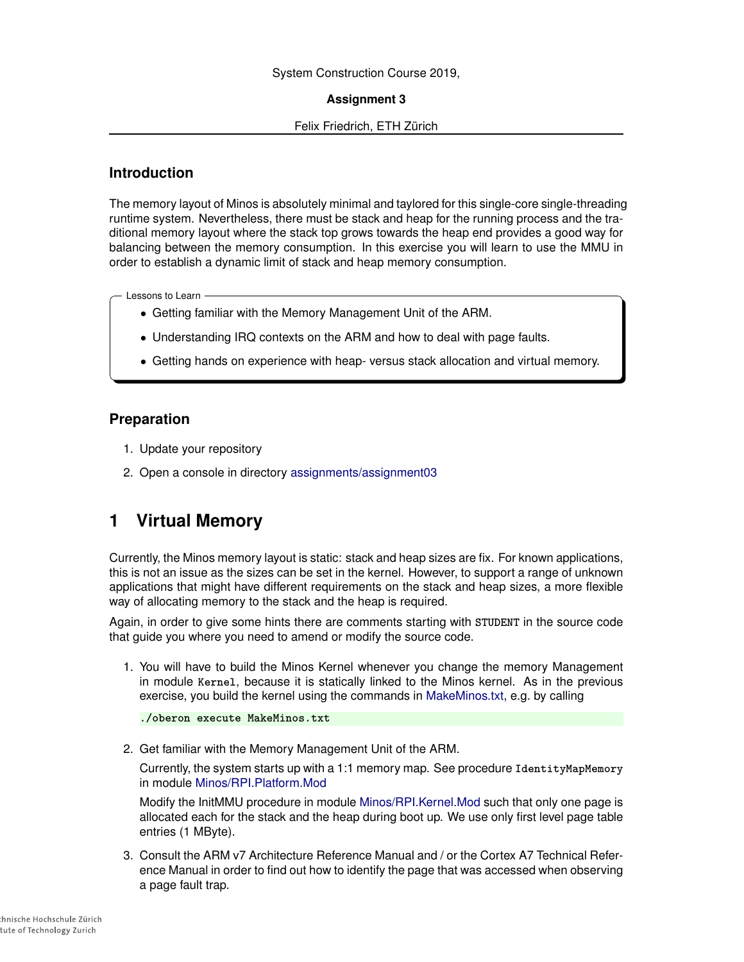## System Construction Course 2019,

#### **Assignment 3**

#### Felix Friedrich, ETH Zürich

# **Introduction**

The memory layout of Minos is absolutely minimal and taylored for this single-core single-threading runtime system. Nevertheless, there must be stack and heap for the running process and the traditional memory layout where the stack top grows towards the heap end provides a good way for balancing between the memory consumption. In this exercise you will learn to use the MMU in order to establish a dynamic limit of stack and heap memory consumption.

Lessons to Learn

- Getting familiar with the Memory Management Unit of the ARM.
- Understanding IRQ contexts on the ARM and how to deal with page faults.
- Getting hands on experience with heap- versus stack allocation and virtual memory.

# **Preparation**

- 1. Update your repository
- 2. Open a console in directory [assignments/assignment03](https://svn.inf.ethz.ch/svn/lecturers/vorlesungen/trunk/syscon/2019/shared/assignments/assignment03)

# **1 Virtual Memory**

Currently, the Minos memory layout is static: stack and heap sizes are fix. For known applications, this is not an issue as the sizes can be set in the kernel. However, to support a range of unknown applications that might have different requirements on the stack and heap sizes, a more flexible way of allocating memory to the stack and the heap is required.

Again, in order to give some hints there are comments starting with **STUDENT** in the source code that guide you where you need to amend or modify the source code.

1. You will have to build the Minos Kernel whenever you change the memory Management in module **Kernel**, because it is statically linked to the Minos kernel. As in the previous exercise, you build the kernel using the commands in [MakeMinos.txt,](https://svn.inf.ethz.ch/svn/lecturers/vorlesungen/trunk/syscon/2019/shared/assignments/assignment03/MakeMinos.txt) e.g. by calling

```
./oberon execute MakeMinos.txt
```
2. Get familiar with the Memory Management Unit of the ARM.

Currently, the system starts up with a 1:1 memory map. See procedure **IdentityMapMemory** in module [Minos/RPI.Platform.Mod](https://svn.inf.ethz.ch/svn/lecturers/vorlesungen/trunk/syscon/2019/shared/assignments/assignment3/Minos/RPI.Platform.Mod)

Modify the InitMMU procedure in module [Minos/RPI.Kernel.Mod](https://svn.inf.ethz.ch/svn/lecturers/vorlesungen/trunk/syscon/2019/shared/assignments/assignment3/Minos/RPI.Kernel.Mod) such that only one page is allocated each for the stack and the heap during boot up. We use only first level page table entries (1 MByte).

3. Consult the ARM v7 Architecture Reference Manual and / or the Cortex A7 Technical Reference Manual in order to find out how to identify the page that was accessed when observing a page fault trap.